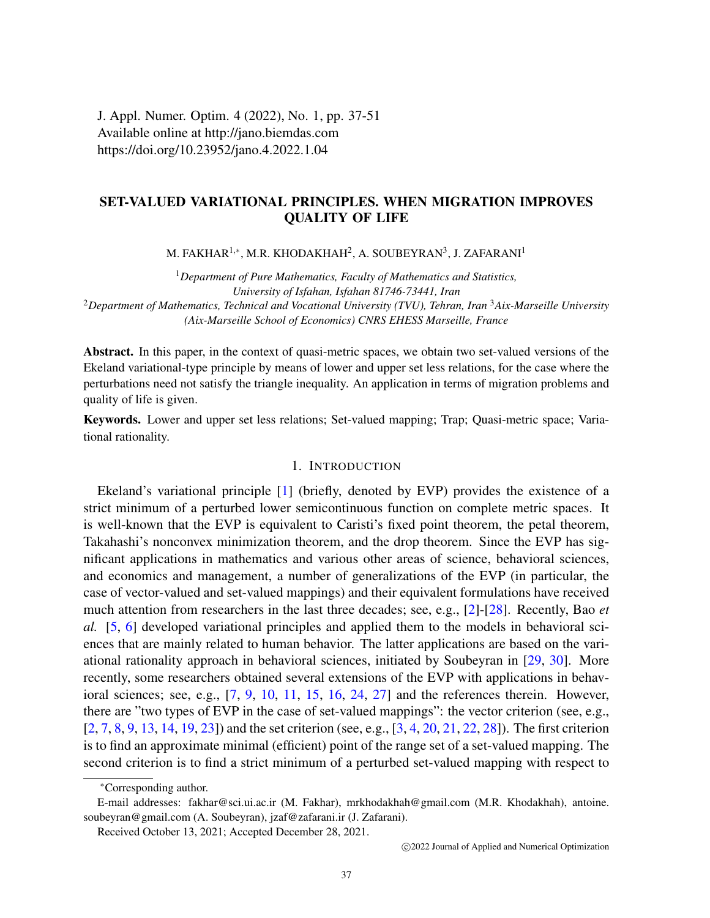J. Appl. Numer. Optim. 4 (2022), No. 1, pp. 37-51 Available online at http://jano.biemdas.com https://doi.org/10.23952/jano.4.2022.1.04

# SET-VALUED VARIATIONAL PRINCIPLES. WHEN MIGRATION IMPROVES QUALITY OF LIFE

M. FAKHAR $^{1,*}$ , M.R. KHODAKHAH $^{2}$ , A. SOUBEYRAN $^{3}$ , J. ZAFARANI $^{1}$ 

<sup>1</sup>*Department of Pure Mathematics, Faculty of Mathematics and Statistics, University of Isfahan, Isfahan 81746-73441, Iran* <sup>2</sup>*Department of Mathematics, Technical and Vocational University (TVU), Tehran, Iran* <sup>3</sup>*Aix-Marseille University (Aix-Marseille School of Economics) CNRS EHESS Marseille, France*

Abstract. In this paper, in the context of quasi-metric spaces, we obtain two set-valued versions of the Ekeland variational-type principle by means of lower and upper set less relations, for the case where the perturbations need not satisfy the triangle inequality. An application in terms of migration problems and quality of life is given.

Keywords. Lower and upper set less relations; Set-valued mapping; Trap; Quasi-metric space; Variational rationality.

## 1. INTRODUCTION

Ekeland's variational principle [\[1\]](#page-13-0) (briefly, denoted by EVP) provides the existence of a strict minimum of a perturbed lower semicontinuous function on complete metric spaces. It is well-known that the EVP is equivalent to Caristi's fixed point theorem, the petal theorem, Takahashi's nonconvex minimization theorem, and the drop theorem. Since the EVP has significant applications in mathematics and various other areas of science, behavioral sciences, and economics and management, a number of generalizations of the EVP (in particular, the case of vector-valued and set-valued mappings) and their equivalent formulations have received much attention from researchers in the last three decades; see, e.g., [\[2\]](#page-13-1)-[\[28\]](#page-14-0). Recently, Bao *et al.* [\[5,](#page-13-2) [6\]](#page-13-3) developed variational principles and applied them to the models in behavioral sciences that are mainly related to human behavior. The latter applications are based on the variational rationality approach in behavioral sciences, initiated by Soubeyran in [\[29,](#page-14-1) [30\]](#page-14-2). More recently, some researchers obtained several extensions of the EVP with applications in behavioral sciences; see, e.g., [\[7,](#page-13-4) [9,](#page-13-5) [10,](#page-13-6) [11,](#page-13-7) [15,](#page-13-8) [16,](#page-13-9) [24,](#page-13-10) [27\]](#page-14-3) and the references therein. However, there are "two types of EVP in the case of set-valued mappings": the vector criterion (see, e.g., [\[2,](#page-13-1) [7,](#page-13-4) [8,](#page-13-11) [9,](#page-13-5) [13,](#page-13-12) [14,](#page-13-13) [19,](#page-13-14) [23\]](#page-13-15)) and the set criterion (see, e.g., [\[3,](#page-13-16) [4,](#page-13-17) [20,](#page-13-18) [21,](#page-13-19) [22,](#page-13-20) [28\]](#page-14-0)). The first criterion is to find an approximate minimal (efficient) point of the range set of a set-valued mapping. The second criterion is to find a strict minimum of a perturbed set-valued mapping with respect to

<sup>∗</sup>Corresponding author.

E-mail addresses: fakhar@sci.ui.ac.ir (M. Fakhar), mrkhodakhah@gmail.com (M.R. Khodakhah), antoine. soubeyran@gmail.com (A. Soubeyran), jzaf@zafarani.ir (J. Zafarani).

Received October 13, 2021; Accepted December 28, 2021.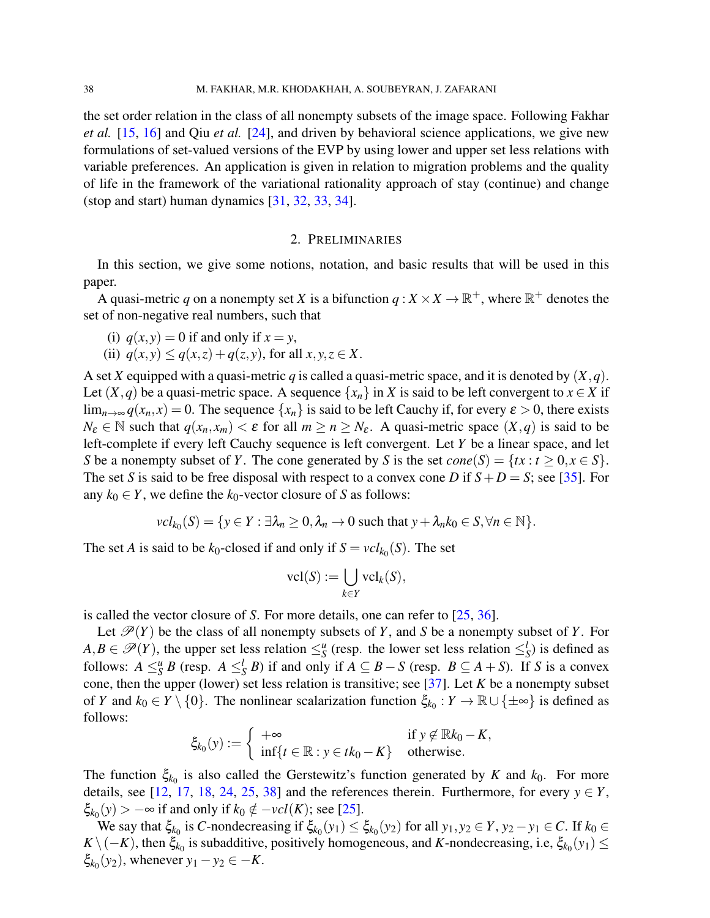the set order relation in the class of all nonempty subsets of the image space. Following Fakhar *et al.* [\[15,](#page-13-8) [16\]](#page-13-9) and Qiu *et al.* [\[24\]](#page-13-10), and driven by behavioral science applications, we give new formulations of set-valued versions of the EVP by using lower and upper set less relations with variable preferences. An application is given in relation to migration problems and the quality of life in the framework of the variational rationality approach of stay (continue) and change (stop and start) human dynamics [\[31,](#page-14-4) [32,](#page-14-5) [33,](#page-14-6) [34\]](#page-14-7).

#### 2. PRELIMINARIES

In this section, we give some notions, notation, and basic results that will be used in this paper.

A quasi-metric q on a nonempty set X is a bifunction  $q: X \times X \to \mathbb{R}^+$ , where  $\mathbb{R}^+$  denotes the set of non-negative real numbers, such that

- (i)  $q(x, y) = 0$  if and only if  $x = y$ ,
- (ii)  $q(x, y) \leq q(x, z) + q(z, y)$ , for all  $x, y, z \in X$ .

A set *X* equipped with a quasi-metric *q* is called a quasi-metric space, and it is denoted by (*X*,*q*). Let  $(X, q)$  be a quasi-metric space. A sequence  $\{x_n\}$  in *X* is said to be left convergent to  $x \in X$  if  $\lim_{n\to\infty} q(x_n, x) = 0$ . The sequence  $\{x_n\}$  is said to be left Cauchy if, for every  $\varepsilon > 0$ , there exists  $N_{\varepsilon} \in \mathbb{N}$  such that  $q(x_n, x_m) < \varepsilon$  for all  $m \ge n \ge N_{\varepsilon}$ . A quasi-metric space  $(X, q)$  is said to be left-complete if every left Cauchy sequence is left convergent. Let *Y* be a linear space, and let *S* be a nonempty subset of *Y*. The cone generated by *S* is the set  $cone(S) = \{tx : t \ge 0, x \in S\}.$ The set *S* is said to be free disposal with respect to a convex cone *D* if  $S + D = S$ ; see [\[35\]](#page-14-8). For any  $k_0 \in Y$ , we define the  $k_0$ -vector closure of *S* as follows:

$$
vcl_{k_0}(S) = \{ y \in Y : \exists \lambda_n \geq 0, \lambda_n \to 0 \text{ such that } y + \lambda_n k_0 \in S, \forall n \in \mathbb{N} \}.
$$

The set *A* is said to be  $k_0$ -closed if and only if  $S = vcl_{k_0}(S)$ . The set

$$
\mathrm{vcl}(S) := \bigcup_{k \in Y} \mathrm{vcl}_k(S),
$$

is called the vector closure of *S*. For more details, one can refer to [\[25,](#page-14-9) [36\]](#page-14-10).

Let  $\mathcal{P}(Y)$  be the class of all nonempty subsets of *Y*, and *S* be a nonempty subset of *Y*. For  $A, B \in \mathscr{P}(Y)$ , the upper set less relation  $\leq_S^u$  (resp. the lower set less relation  $\leq_S^l$ ) is defined as follows:  $A \leq_S^u B$  (resp.  $A \leq_S^l B$ ) if and only if  $A \subseteq B - S$  (resp.  $B \subseteq A + S$ ). If *S* is a convex cone, then the upper (lower) set less relation is transitive; see [\[37\]](#page-14-11). Let *K* be a nonempty subset of *Y* and  $k_0 \in Y \setminus \{0\}$ . The nonlinear scalarization function  $\xi_{k_0}: Y \to \mathbb{R} \cup \{\pm \infty\}$  is defined as follows:

$$
\xi_{k_0}(y) := \begin{cases}\n+\infty & \text{if } y \notin \mathbb{R} k_0 - K, \\
\inf\{t \in \mathbb{R} : y \in tk_0 - K\} & \text{otherwise.}\n\end{cases}
$$

The function  $\xi_{k_0}$  is also called the Gerstewitz's function generated by *K* and  $k_0$ . For more details, see [\[12,](#page-13-21) [17,](#page-13-22) [18,](#page-13-23) [24,](#page-13-10) [25,](#page-14-9) [38\]](#page-14-12) and the references therein. Furthermore, for every  $y \in Y$ ,  $\xi_{k_0}(y) > -\infty$  if and only if  $k_0 \notin -\nu c l(K)$ ; see [\[25\]](#page-14-9).

We say that  $\xi_{k_0}$  is *C*-nondecreasing if  $\xi_{k_0}(y_1) \le \xi_{k_0}(y_2)$  for all  $y_1, y_2 \in Y$ ,  $y_2 - y_1 \in C$ . If  $k_0 \in$  $K \setminus (-K)$ , then  $\xi_{k_0}$  is subadditive, positively homogeneous, and *K*-nondecreasing, i.e,  $\xi_{k_0}(y_1) \le$  $\xi_{k_0}(y_2)$ , whenever  $y_1 - y_2 \in -K$ .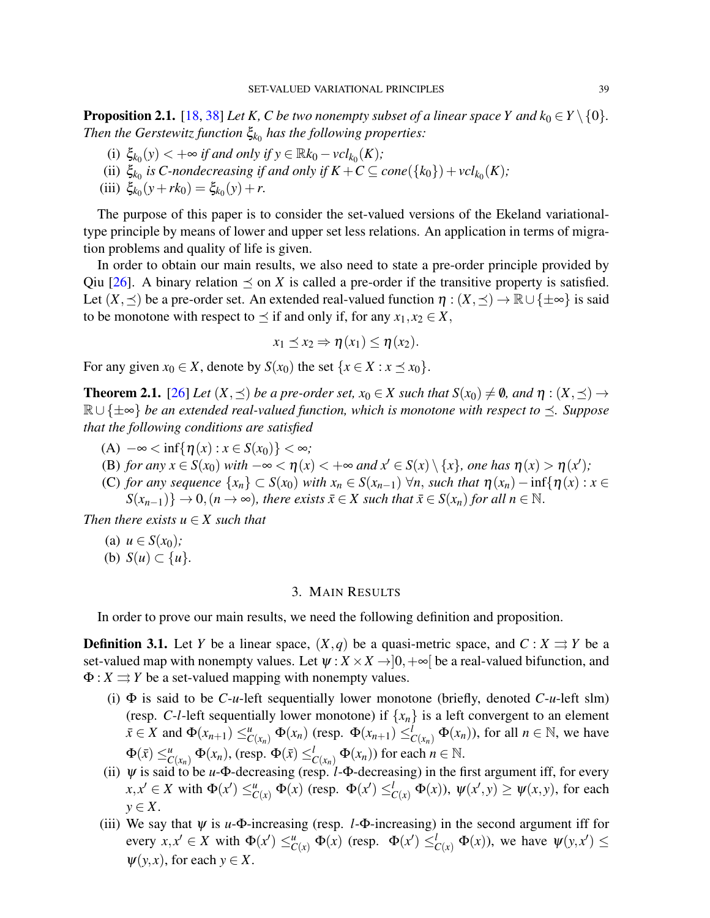<span id="page-2-1"></span>**Proposition 2.1.** [\[18,](#page-13-23) [38\]](#page-14-12) *Let K, C be two nonempty subset of a linear space Y and*  $k_0 \in Y \setminus \{0\}$ *. Then the Gerstewitz function* ξ*k*<sup>0</sup> *has the following properties:*

- (i)  $\xi_{k_0}(y) < +\infty$  *if and only if*  $y \in \mathbb{R}k_0 \nu c l_{k_0}(K)$ ;
- (ii)  $\xi_{k_0}$  is C-nondecreasing if and only if  $K + C \subseteq cone(\lbrace k_0 \rbrace) + vcl_{k_0}(K)$ ;
- (iii)  $\xi_{k_0}(y + rk_0) = \xi_{k_0}(y) + r.$

The purpose of this paper is to consider the set-valued versions of the Ekeland variationaltype principle by means of lower and upper set less relations. An application in terms of migration problems and quality of life is given.

In order to obtain our main results, we also need to state a pre-order principle provided by Qiu [\[26\]](#page-14-13). A binary relation  $\preceq$  on *X* is called a pre-order if the transitive property is satisfied. Let  $(X, \preceq)$  be a pre-order set. An extended real-valued function  $\eta : (X, \preceq) \to \mathbb{R} \cup \{\pm \infty\}$  is said to be monotone with respect to  $\preceq$  if and only if, for any  $x_1, x_2 \in X$ ,

$$
x_1 \preceq x_2 \Rightarrow \eta(x_1) \leq \eta(x_2).
$$

For any given  $x_0 \in X$ , denote by  $S(x_0)$  the set  $\{x \in X : x \preceq x_0\}$ .

<span id="page-2-0"></span>**Theorem 2.1.** [\[26\]](#page-14-13) Let  $(X, \preceq)$  be a pre-order set,  $x_0 \in X$  such that  $S(x_0) \neq \emptyset$ , and  $\eta : (X, \preceq) \rightarrow$ R∪ {±∞} *be an extended real-valued function, which is monotone with respect to . Suppose that the following conditions are satisfied*

- (A)  $-\infty < \inf\{\eta(x) : x \in S(x_0)\} < \infty$ *;*
- (B) *for any*  $x \in S(x_0)$  *with*  $-\infty < \eta(x) < +\infty$  *and*  $x' \in S(x) \setminus \{x\}$ *, one has*  $\eta(x) > \eta(x')$ *;*
- (C) *for any sequence*  $\{x_n\}$  ⊂ *S*(*x*<sub>0</sub>) *with*  $x_n$  ∈ *S*( $x_{n-1}$ )  $\forall n$ , *such that*  $η(x_n) inf{η(x) : x ∈$  $S(x_{n-1})$ }  $\rightarrow 0, (n \rightarrow \infty)$ *, there exists*  $\bar{x} \in X$  *such that*  $\bar{x} \in S(x_n)$  *for all*  $n \in \mathbb{N}$ *.*

*Then there exists*  $u \in X$  *such that* 

- (a)  $u \in S(x_0)$ ;
- (b)  $S(u) \subset \{u\}.$

### 3. MAIN RESULTS

In order to prove our main results, we need the following definition and proposition.

**Definition 3.1.** Let *Y* be a linear space,  $(X, q)$  be a quasi-metric space, and  $C: X \rightrightarrows Y$  be a set-valued map with nonempty values. Let  $\psi: X \times X \rightarrow ]0, +\infty[$  be a real-valued bifunction, and  $\Phi: X \rightrightarrows Y$  be a set-valued mapping with nonempty values.

- (i) Φ is said to be *C*-*u*-left sequentially lower monotone (briefly, denoted *C*-*u*-left slm) (resp. *C*-*l*-left sequentially lower monotone) if  $\{x_n\}$  is a left convergent to an element  $\bar{x} \in X$  and  $\Phi(x_{n+1}) \leq^u_{C(x_n)} \Phi(x_n)$  (resp.  $\Phi(x_{n+1}) \leq^{\tilde{I}}_{C(x_n)} \Phi(x_n)$ ), for all  $n \in \mathbb{N}$ , we have  $\Phi(\bar{x}) \leq^u_{C(x_n)} \Phi(x_n)$ , (resp.  $\Phi(\bar{x}) \leq^l_{C(x_n)} \Phi(x_n)$ ) for each  $n \in \mathbb{N}$ .
- (ii)  $\psi$  is said to be *u*- $\Phi$ -decreasing (resp. *l*- $\Phi$ -decreasing) in the first argument iff, for every  $x, x' \in X$  with  $\Phi(x') \leq^u_{C(x)} \Phi(x)$  (resp.  $\Phi(x') \leq^l_{C(x)} \Phi(x)$ ),  $\psi(x', y) \geq \psi(x, y)$ , for each *y* ∈ *X*.
- (iii) We say that  $\psi$  is *u*- $\Phi$ -increasing (resp. *l*- $\Phi$ -increasing) in the second argument iff for every  $x, x' \in X$  with  $\Phi(x') \leq^u_{C(x)} \Phi(x)$  (resp.  $\Phi(x') \leq^l_{C(x)} \Phi(x)$ ), we have  $\psi(y, x') \leq^u_{C(x)} \Phi(x)$  $\psi(y, x)$ , for each  $y \in X$ .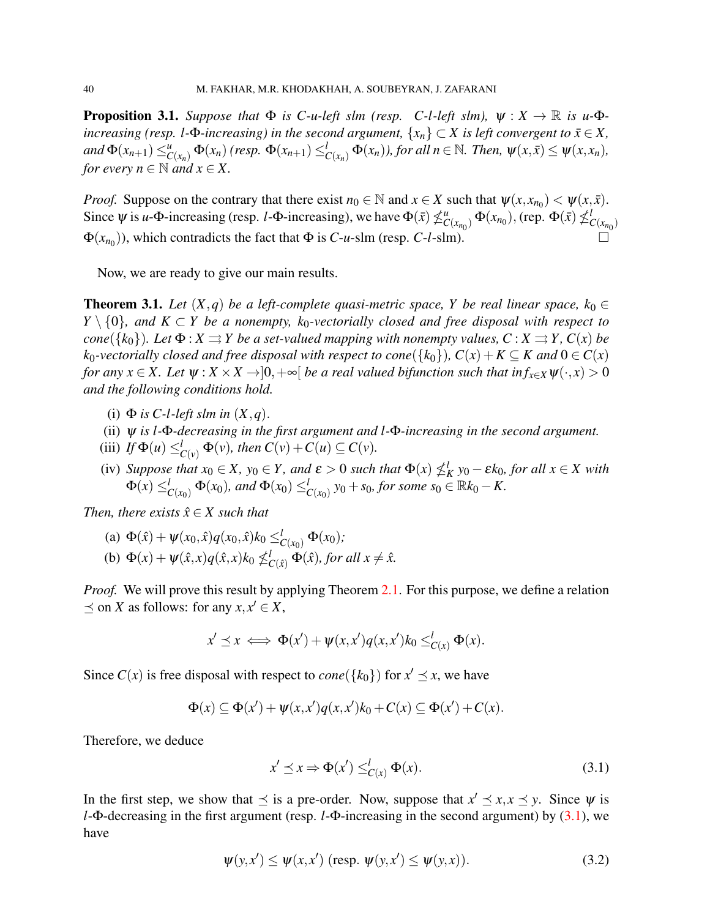<span id="page-3-2"></span>**Proposition 3.1.** *Suppose that*  $\Phi$  *is C-u-left slm (resp. C-l-left slm),*  $\psi : X \to \mathbb{R}$  *is u-* $\Phi$ *increasing (resp. l-* $\Phi$ *-increasing) in the second argument,*  $\{x_n\} \subset X$  *is left convergent to*  $\bar{x} \in X$ *,* and  $\Phi(x_{n+1}) \leq_{C(x_n)}^u \Phi(x_n)$  (resp.  $\Phi(x_{n+1}) \leq_{C(x_n)}^l \Phi(x_n)$ ), for all  $n \in \mathbb{N}$ . Then,  $\psi(x,\bar{x}) \leq \psi(x,x_n)$ , *for every*  $n \in \mathbb{N}$  *and*  $x \in X$ .

*Proof.* Suppose on the contrary that there exist  $n_0 \in \mathbb{N}$  and  $x \in X$  such that  $\psi(x, x_{n_0}) < \psi(x, \bar{x})$ . Since  $\psi$  is *u*- $\Phi$ -increasing (resp. *l*- $\Phi$ -increasing), we have  $\Phi(\bar{x}) \nleq_C$  $C(x_{n_0}) \Phi(x_{n_0})$ , (rep.  $\Phi(\bar{x}) \nleq^l_0$  $C(x_{n_0})$  $\Phi(x_{n_0})$ ), which contradicts the fact that  $\Phi$  is *C*-*u*-slm (resp. *C*-*l*-slm).

Now, we are ready to give our main results.

<span id="page-3-3"></span>**Theorem 3.1.** Let  $(X,q)$  be a left-complete quasi-metric space, Y be real linear space,  $k_0 \in$ *Y*  $\set{0}$ *, and K* ⊂ *Y be a nonempty, k*<sub>0</sub>*-vectorially closed and free disposal with respect to cone*({ $k_0$ }). Let  $\Phi$  :  $X \rightrightarrows Y$  *be a set-valued mapping with nonempty values, C* :  $X \rightrightarrows Y$ *, C*(*x*) *be k*<sub>0</sub>-vectorially closed and free disposal with respect to cone({ $k_0$ }),  $C(x) + K \subseteq K$  and  $0 \in C(x)$ *for any*  $x \in X$ . Let  $\psi : X \times X \to ]0, +\infty[$  *be a real valued bifunction such that in*  $f_{x \in X} \psi(\cdot, x) > 0$ *and the following conditions hold.*

- (i)  $\Phi$  *is C-l-left slm in*  $(X, q)$ .
- (ii) ψ *is l-*Φ*-decreasing in the first argument and l-*Φ*-increasing in the second argument.*
- (iii) *If*  $\Phi(u) \leq_{C(v)}^l \Phi(v)$ *, then*  $C(v) + C(u) \subseteq C(v)$ *.*
- (iv) Suppose that  $x_0 \in X$ ,  $y_0 \in Y$ , and  $\varepsilon > 0$  such that  $\Phi(x) \nleq_K^l y_0 \varepsilon k_0$ , for all  $x \in X$  with  $\Phi(x) \leq_{C(x_0)}^l \Phi(x_0)$ , and  $\Phi(x_0) \leq_{C(x_0)}^l y_0 + s_0$ , for some  $s_0 \in \mathbb{R}k_0 - K$ .

*Then, there exists*  $\hat{x} \in X$  *such that* 

(a) 
$$
\Phi(\hat{x}) + \psi(x_0, \hat{x})q(x_0, \hat{x})k_0 \leq_{C(x_0)}^l \Phi(x_0);
$$
  
\n(b)  $\Phi(x) + \psi(\hat{x}, x)q(\hat{x}, x)k_0 \nleq_{C(\hat{x})}^l \Phi(\hat{x}),$  for all  $x \neq \hat{x}$ .

*Proof.* We will prove this result by applying Theorem [2.1.](#page-2-0) For this purpose, we define a relation  $\preceq$  on *X* as follows: for any  $x, x' \in X$ ,

$$
x' \preceq x \iff \Phi(x') + \psi(x, x')q(x, x')k_0 \leq_{C(x)}^l \Phi(x).
$$

Since  $C(x)$  is free disposal with respect to  $cone({k_0})$  for  $x' \le x$ , we have

$$
\Phi(x) \subseteq \Phi(x') + \psi(x, x')q(x, x')k_0 + C(x) \subseteq \Phi(x') + C(x).
$$

Therefore, we deduce

<span id="page-3-0"></span>
$$
x' \preceq x \Rightarrow \Phi(x') \leq_{C(x)}^{l} \Phi(x). \tag{3.1}
$$

In the first step, we show that  $\leq$  is a pre-order. Now, suppose that  $x' \leq x, x \leq y$ . Since  $\psi$  is *l*-Φ-decreasing in the first argument (resp. *l*-Φ-increasing in the second argument) by [\(3.1\)](#page-3-0), we have

<span id="page-3-1"></span>
$$
\psi(y, x') \le \psi(x, x') \text{ (resp. } \psi(y, x') \le \psi(y, x)).\tag{3.2}
$$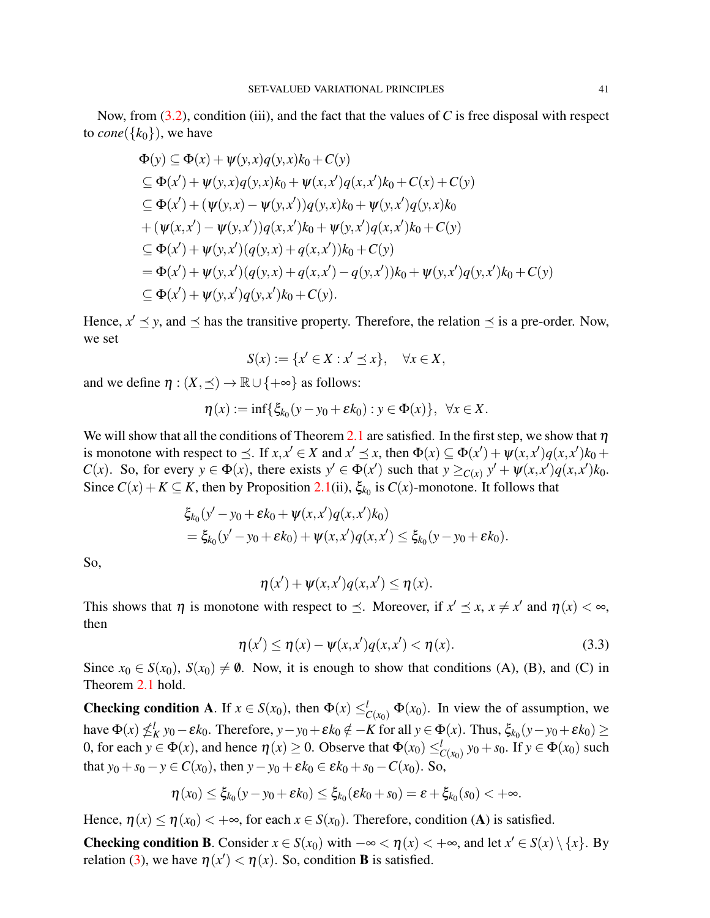$$
\Phi(y) \subseteq \Phi(x) + \psi(y, x)q(y, x)k_0 + C(y)
$$
\n
$$
\subseteq \Phi(x') + \psi(y, x)q(y, x)k_0 + \psi(x, x')q(x, x')k_0 + C(x) + C(y)
$$
\n
$$
\subseteq \Phi(x') + (\psi(y, x) - \psi(y, x'))q(y, x)k_0 + \psi(y, x')q(y, x)k_0 + (\psi(x, x') - \psi(y, x'))q(x, x')k_0 + \psi(y, x')q(x, x')k_0 + C(y)
$$
\n
$$
\subseteq \Phi(x') + \psi(y, x')(q(y, x) + q(x, x'))k_0 + C(y)
$$
\n
$$
= \Phi(x') + \psi(y, x')(q(y, x) + q(x, x') - q(y, x'))k_0 + \psi(y, x')q(y, x')k_0 + C(y)
$$
\n
$$
\subseteq \Phi(x') + \psi(y, x')q(y, x')k_0 + C(y).
$$

Hence,  $x' \le y$ , and  $\le$  has the transitive property. Therefore, the relation  $\le$  is a pre-order. Now, we set

$$
S(x) := \{x' \in X : x' \preceq x\}, \quad \forall x \in X,
$$

and we define  $\eta$  :  $(X, \prec) \to \mathbb{R} \cup \{+\infty\}$  as follows:

$$
\eta(x):=\inf\{\xi_{k_0}(y-y_0+\varepsilon k_0):y\in\Phi(x)\},\ \forall x\in X.
$$

We will show that all the conditions of Theorem [2.1](#page-2-0) are satisfied. In the first step, we show that  $\eta$ is monotone with respect to  $\leq$ . If  $x, x' \in X$  and  $x' \leq x$ , then  $\Phi(x) \subseteq \Phi(x') + \psi(x, x')q(x, x')k_0 +$ *C*(*x*). So, for every  $y \in \Phi(x)$ , there exists  $y' \in \Phi(x')$  such that  $y \geq_{C(x)} y' + \psi(x,x')q(x,x')k_0$ . Since  $C(x) + K \subseteq K$ , then by Proposition [2.1\(](#page-2-1)ii),  $\xi_{k_0}$  is  $C(x)$ -monotone. It follows that

$$
\xi_{k_0}(y'-y_0+\varepsilon k_0+\psi(x,x')q(x,x')k_0) \n= \xi_{k_0}(y'-y_0+\varepsilon k_0)+\psi(x,x')q(x,x') \leq \xi_{k_0}(y-y_0+\varepsilon k_0).
$$

So,

$$
\eta(x') + \psi(x, x')q(x, x') \leq \eta(x).
$$

This shows that  $\eta$  is monotone with respect to  $\preceq$ . Moreover, if  $x' \preceq x$ ,  $x \neq x'$  and  $\eta(x) < \infty$ , then

$$
\eta(x') \le \eta(x) - \psi(x, x')q(x, x') < \eta(x). \tag{3.3}
$$

Since  $x_0 \in S(x_0)$ ,  $S(x_0) \neq \emptyset$ . Now, it is enough to show that conditions (A), (B), and (C) in Theorem [2.1](#page-2-0) hold.

**Checking condition A.** If  $x \in S(x_0)$ , then  $\Phi(x) \leq_{C(x_0)}^l \Phi(x_0)$ . In view the of assumption, we  $\int$ have  $\Phi(x) \nleq k$ <sub>*K*</sub>  $y_0 - \varepsilon k_0$ . Therefore,  $y - y_0 + \varepsilon k_0 \notin -K$  for all  $y \in \Phi(x)$ . Thus,  $\xi_{k_0}(y - y_0 + \varepsilon k_0) \geq$ 0, for each  $y \in \Phi(x)$ , and hence  $\eta(x) \ge 0$ . Observe that  $\Phi(x_0) \leq_{C(x_0)}^l y_0 + s_0$ . If  $y \in \Phi(x_0)$  such that  $y_0 + s_0 - y \in C(x_0)$ , then  $y - y_0 + \varepsilon k_0 \in \varepsilon k_0 + s_0 - C(x_0)$ . So,

$$
\eta(x_0)\leq \xi_{k_0}(y-y_0+\varepsilon k_0)\leq \xi_{k_0}(\varepsilon k_0+s_0)=\varepsilon+\xi_{k_0}(s_0)<+\infty.
$$

Hence,  $\eta(x) \leq \eta(x_0) < +\infty$ , for each  $x \in S(x_0)$ . Therefore, condition (A) is satisfied.

Checking condition B. Consider  $x \in S(x_0)$  with  $-\infty < \eta(x) < +\infty$ , and let  $x' \in S(x) \setminus \{x\}$ . By relation [\(3\)](#page-6-0), we have  $\eta(x') < \eta(x)$ . So, condition **B** is satisfied.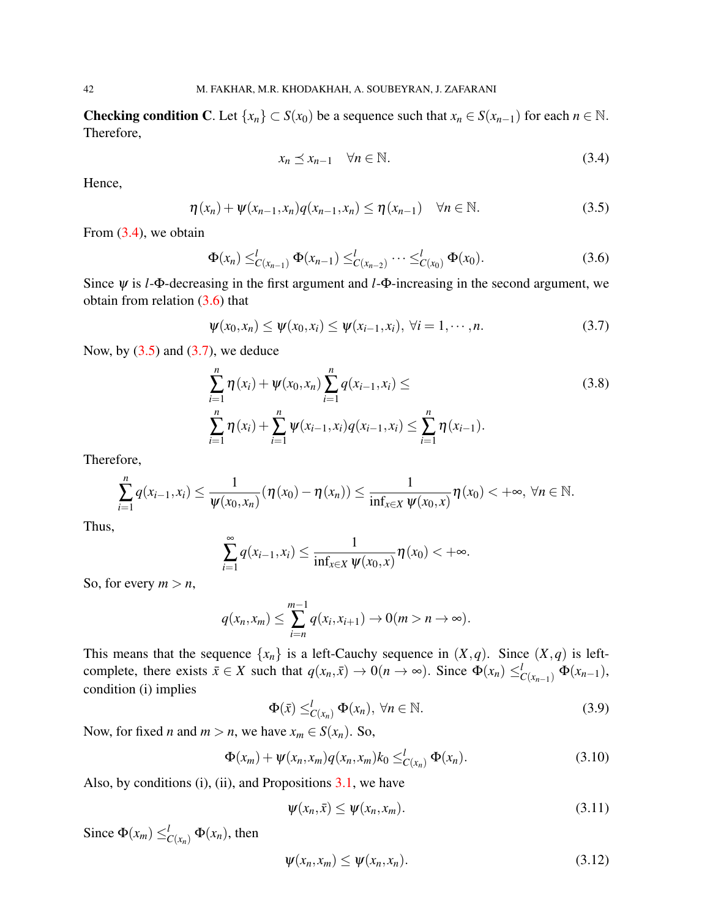Checking condition C. Let  $\{x_n\} \subset S(x_0)$  be a sequence such that  $x_n \in S(x_{n-1})$  for each  $n \in \mathbb{N}$ . Therefore,

<span id="page-5-0"></span>
$$
x_n \preceq x_{n-1} \quad \forall n \in \mathbb{N}.\tag{3.4}
$$

Hence,

<span id="page-5-2"></span>
$$
\eta(x_n) + \psi(x_{n-1}, x_n)q(x_{n-1}, x_n) \leq \eta(x_{n-1}) \quad \forall n \in \mathbb{N}.
$$
\n(3.5)

From  $(3.4)$ , we obtain

<span id="page-5-1"></span>
$$
\Phi(x_n) \leq_{C(x_{n-1})}^{l} \Phi(x_{n-1}) \leq_{C(x_{n-2})}^{l} \cdots \leq_{C(x_0)}^{l} \Phi(x_0).
$$
\n(3.6)

Since ψ is *l*-Φ-decreasing in the first argument and *l*-Φ-increasing in the second argument, we obtain from relation [\(3.6\)](#page-5-1) that

<span id="page-5-3"></span>
$$
\psi(x_0,x_n) \le \psi(x_0,x_i) \le \psi(x_{i-1},x_i), \ \forall i=1,\cdots,n. \tag{3.7}
$$

Now, by  $(3.5)$  and  $(3.7)$ , we deduce

$$
\sum_{i=1}^{n} \eta(x_i) + \psi(x_0, x_n) \sum_{i=1}^{n} q(x_{i-1}, x_i) \le
$$
\n
$$
\sum_{i=1}^{n} \eta(x_i) + \sum_{i=1}^{n} \psi(x_{i-1}, x_i) q(x_{i-1}, x_i) \le \sum_{i=1}^{n} \eta(x_{i-1}).
$$
\n(3.8)

Therefore,

$$
\sum_{i=1}^n q(x_{i-1}, x_i) \leq \frac{1}{\psi(x_0, x_n)} (\eta(x_0) - \eta(x_n)) \leq \frac{1}{\inf_{x \in X} \psi(x_0, x)} \eta(x_0) < +\infty, \ \forall n \in \mathbb{N}.
$$

Thus,

$$
\sum_{i=1}^{\infty} q(x_{i-1}, x_i) \leq \frac{1}{\inf_{x \in X} \psi(x_0, x)} \eta(x_0) < +\infty.
$$

So, for every  $m > n$ ,

$$
q(x_n,x_m)\leq \sum_{i=n}^{m-1}q(x_i,x_{i+1})\to 0 (m>n\to\infty).
$$

This means that the sequence  $\{x_n\}$  is a left-Cauchy sequence in  $(X, q)$ . Since  $(X, q)$  is leftcomplete, there exists  $\bar{x} \in X$  such that  $q(x_n, \bar{x}) \to 0$  ( $n \to \infty$ ). Since  $\Phi(x_n) \leq^l_{C(x_{n-1})} \Phi(x_{n-1})$ , condition (i) implies

<span id="page-5-4"></span>
$$
\Phi(\bar{x}) \leq_{C(x_n)}^l \Phi(x_n), \ \forall n \in \mathbb{N}.
$$
\n(3.9)

Now, for fixed *n* and  $m > n$ , we have  $x_m \in S(x_n)$ . So,

<span id="page-5-5"></span>
$$
\Phi(x_m) + \psi(x_n, x_m) q(x_n, x_m) k_0 \leq_{C(x_n)}^{l} \Phi(x_n).
$$
\n(3.10)

Also, by conditions  $(i)$ ,  $(ii)$ , and Propositions  $3.1$ , we have

<span id="page-5-6"></span>
$$
\psi(x_n, \bar{x}) \le \psi(x_n, x_m). \tag{3.11}
$$

Since  $\Phi(x_m) \leq^l_{C(x_n)} \Phi(x_n)$ , then

<span id="page-5-7"></span>
$$
\psi(x_n, x_m) \le \psi(x_n, x_n). \tag{3.12}
$$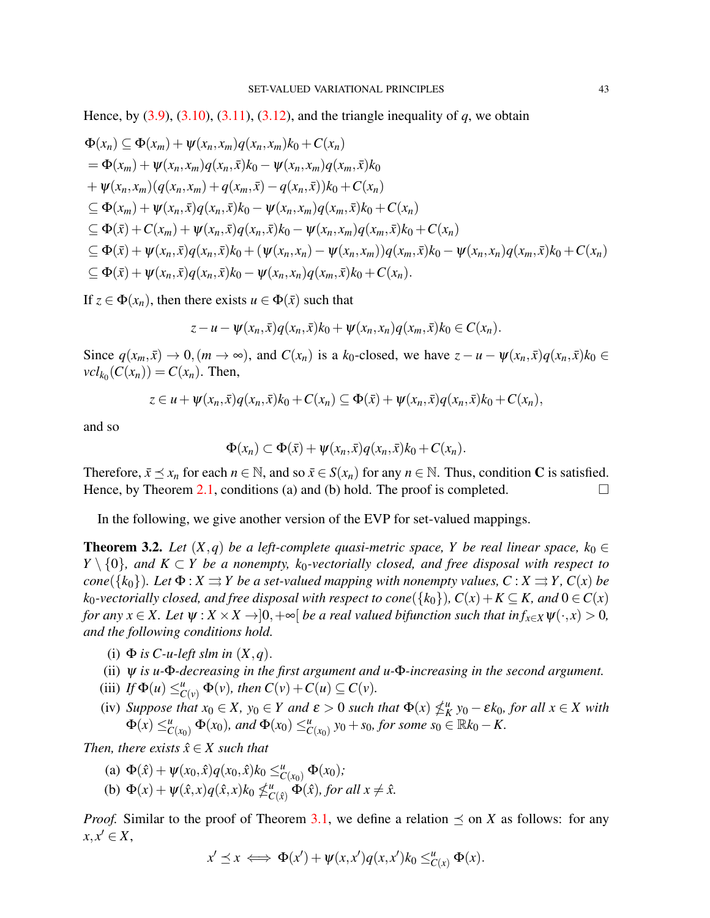Hence, by  $(3.9)$ ,  $(3.10)$ ,  $(3.11)$ ,  $(3.12)$ , and the triangle inequality of *q*, we obtain

$$
\Phi(x_n) \subseteq \Phi(x_m) + \psi(x_n, x_m)q(x_n, x_m)k_0 + C(x_n)
$$
\n
$$
= \Phi(x_m) + \psi(x_n, x_m)q(x_n, \bar{x})k_0 - \psi(x_n, x_m)q(x_m, \bar{x})k_0
$$
\n
$$
+ \psi(x_n, x_m)(q(x_n, x_m) + q(x_m, \bar{x}) - q(x_n, \bar{x}))k_0 + C(x_n)
$$
\n
$$
\subseteq \Phi(x_m) + \psi(x_n, \bar{x})q(x_n, \bar{x})k_0 - \psi(x_n, x_m)q(x_m, \bar{x})k_0 + C(x_n)
$$
\n
$$
\subseteq \Phi(\bar{x}) + C(x_m) + \psi(x_n, \bar{x})q(x_n, \bar{x})k_0 - \psi(x_n, x_m)q(x_m, \bar{x})k_0 + C(x_n)
$$
\n
$$
\subseteq \Phi(\bar{x}) + \psi(x_n, \bar{x})q(x_n, \bar{x})k_0 + (\psi(x_n, x_n) - \psi(x_n, x_m))q(x_m, \bar{x})k_0 - \psi(x_n, x_n)q(x_m, \bar{x})k_0 + C(x_n)
$$
\n
$$
\subseteq \Phi(\bar{x}) + \psi(x_n, \bar{x})q(x_n, \bar{x})k_0 - \psi(x_n, x_n)q(x_m, \bar{x})k_0 + C(x_n).
$$

If  $z \in \Phi(x_n)$ , then there exists  $u \in \Phi(\bar{x})$  such that

$$
z-u-\psi(x_n,\bar{x})q(x_n,\bar{x})k_0+\psi(x_n,x_n)q(x_m,\bar{x})k_0\in C(x_n).
$$

Since  $q(x_m, \bar{x}) \to 0$ ,  $(m \to \infty)$ , and  $C(x_n)$  is a  $k_0$ -closed, we have  $z - u - \psi(x_n, \bar{x})q(x_n, \bar{x})k_0 \in$  $vcl_{k_0}(C(x_n)) = C(x_n)$ . Then,

$$
z \in u + \psi(x_n, \bar{x})q(x_n, \bar{x})k_0 + C(x_n) \subseteq \Phi(\bar{x}) + \psi(x_n, \bar{x})q(x_n, \bar{x})k_0 + C(x_n),
$$

and so

$$
\Phi(x_n) \subset \Phi(\bar{x}) + \psi(x_n, \bar{x}) q(x_n, \bar{x}) k_0 + C(x_n).
$$

Therefore,  $\bar{x} \preceq x_n$  for each  $n \in \mathbb{N}$ , and so  $\bar{x} \in S(x_n)$  for any  $n \in \mathbb{N}$ . Thus, condition C is satisfied. Hence, by Theorem [2.1,](#page-2-0) conditions (a) and (b) hold. The proof is completed.  $\square$ 

In the following, we give another version of the EVP for set-valued mappings.

<span id="page-6-0"></span>**Theorem 3.2.** Let  $(X, q)$  be a left-complete quasi-metric space, Y be real linear space,  $k_0 \in$ *Y*  $\set{0}$ *, and K* ⊂ *Y* be a nonempty, k<sub>0</sub>-vectorially closed, and free disposal with respect to *cone*({ $k_0$ }). Let  $\Phi$  :  $X \rightrightarrows Y$  *be a set-valued mapping with nonempty values, C* :  $X \rightrightarrows Y$ *, C(x) be k*<sub>0</sub>*-vectorially closed, and free disposal with respect to cone*({ $k_0$ }),  $C(x) + K \subseteq K$ , and  $0 \in C(x)$ *for any*  $x \in X$ *. Let*  $\psi : X \times X \to ]0, +\infty[$  *be a real valued bifunction such that in*  $f_{x \in X} \psi(\cdot, x) > 0$ *, and the following conditions hold.*

- (i)  $\Phi$  *is C-u-left slm in*  $(X, q)$ .
- (ii) ψ *is u-*Φ*-decreasing in the first argument and u-*Φ*-increasing in the second argument.*
- (iii) *If*  $\Phi(u) \leq^u_{C(v)} \Phi(v)$ *, then*  $C(v) + C(u) \subseteq C(v)$ *.*
- (iv) Suppose that  $x_0 \in X$ ,  $y_0 \in Y$  and  $\varepsilon > 0$  such that  $\Phi(x) \nleq_K^u y_0 \varepsilon k_0$ , for all  $x \in X$  with  $\Phi(x) \leq_{C(x_0)}^u \Phi(x_0)$ , and  $\Phi(x_0) \leq_{C(x_0)}^u y_0 + s_0$ , for some  $s_0 \in \mathbb{R}k_0 - K$ .

*Then, there exists*  $\hat{x} \in X$  *such that* 

- (a)  $\Phi(\hat{x}) + \psi(x_0, \hat{x})q(x_0, \hat{x})k_0 \leq^u_{C(x_0)} \Phi(x_0);$
- (b)  $\Phi(x) + \psi(\hat{x},x)q(\hat{x},x)k_0 \nleq^u_{C(\hat{x})}\Phi(\hat{x})$ , for all  $x \neq \hat{x}$ .

*Proof.* Similar to the proof of Theorem [3.1,](#page-3-3) we define a relation  $\preceq$  on *X* as follows: for any  $x, x' \in X$ ,

$$
x' \preceq x \iff \Phi(x') + \psi(x, x')q(x, x')k_0 \leq_{C(x)}^u \Phi(x).
$$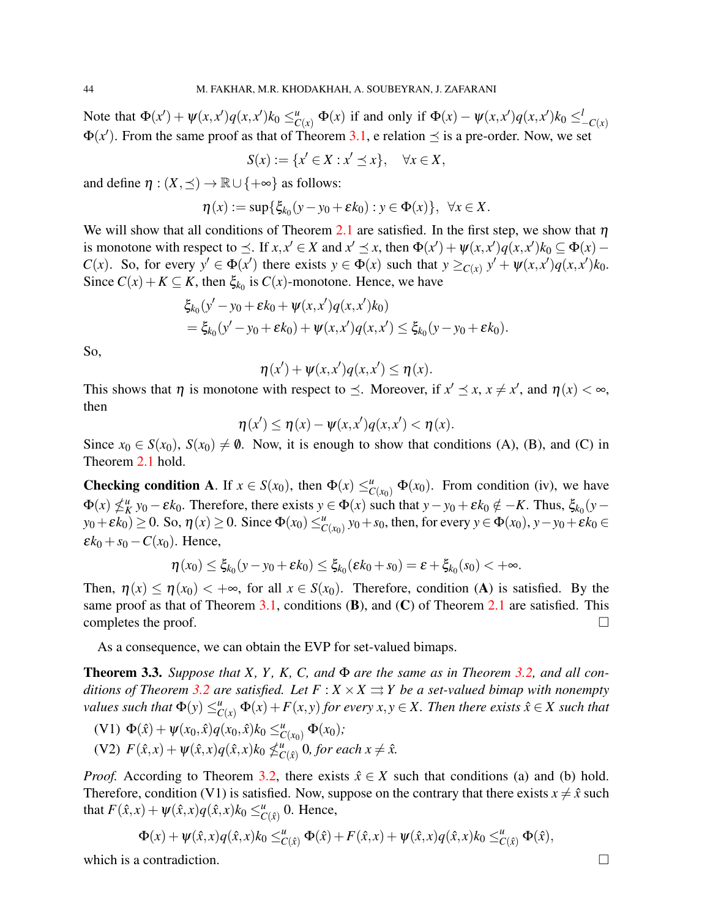Note that  $\Phi(x') + \psi(x, x')q(x, x')k_0 \leq_{C(x)}^u \Phi(x)$  if and only if  $\Phi(x) - \psi(x, x')q(x, x')k_0 \leq_{-C(x)}^l$  $\Phi(x')$ . From the same proof as that of Theorem [3.1,](#page-3-3) e relation  $\preceq$  is a pre-order. Now, we set

$$
S(x) := \{x' \in X : x' \preceq x\}, \quad \forall x \in X,
$$

and define  $\eta$  :  $(X, \preceq) \to \mathbb{R} \cup \{+\infty\}$  as follows:

$$
\eta(x) := \sup \{ \xi_{k_0}(y - y_0 + \varepsilon k_0) : y \in \Phi(x) \}, \ \forall x \in X.
$$

We will show that all conditions of Theorem [2.1](#page-2-0) are satisfied. In the first step, we show that  $\eta$ is monotone with respect to  $\leq$ . If  $x, x' \in X$  and  $x' \leq x$ , then  $\Phi(x') + \psi(x, x')q(x, x')k_0 \subseteq \Phi(x) -$ *C*(*x*). So, for every  $y' \in \Phi(x')$  there exists  $y \in \Phi(x)$  such that  $y \geq_{C(x)} y' + \psi(x,x')q(x,x')k_0$ . Since  $C(x) + K \subseteq K$ , then  $\xi_{k_0}$  is  $C(x)$ -monotone. Hence, we have

$$
\xi_{k_0}(y'-y_0+\varepsilon k_0+\psi(x,x')q(x,x')k_0) \n= \xi_{k_0}(y'-y_0+\varepsilon k_0)+\psi(x,x')q(x,x') \leq \xi_{k_0}(y-y_0+\varepsilon k_0).
$$

So,

$$
\eta(x') + \psi(x,x')q(x,x') \leq \eta(x).
$$

This shows that  $\eta$  is monotone with respect to  $\preceq$ . Moreover, if  $x' \preceq x$ ,  $x \neq x'$ , and  $\eta(x) < \infty$ , then

$$
\eta(x') \leq \eta(x) - \psi(x, x')q(x, x') < \eta(x).
$$

Since  $x_0 \in S(x_0)$ ,  $S(x_0) \neq \emptyset$ . Now, it is enough to show that conditions (A), (B), and (C) in Theorem [2.1](#page-2-0) hold.

**Checking condition A.** If  $x \in S(x_0)$ , then  $\Phi(x) \leq_{C(x_0)}^u \Phi(x_0)$ . From condition (iv), we have  $\Phi(x) \nleq_K^u y_0 - \varepsilon k_0$ . Therefore, there exists  $y \in \Phi(x)$  such that  $y - y_0 + \varepsilon k_0 \notin -K$ . Thus,  $\xi_{k_0}(y - \varepsilon k_0)$ .  $y_0 + \varepsilon k_0$   $\geq$  0. So,  $\eta(x) \geq 0$ . Since  $\Phi(x_0) \leq u_{C(x_0)}^u y_0 + s_0$ , then, for every  $y \in \Phi(x_0)$ ,  $y - y_0 + \varepsilon k_0 \in$  $\epsilon k_0 + s_0 - C(x_0)$ . Hence,

$$
\eta(x_0) \leq \xi_{k_0}(y - y_0 + \varepsilon k_0) \leq \xi_{k_0}(\varepsilon k_0 + s_0) = \varepsilon + \xi_{k_0}(s_0) < +\infty.
$$

Then,  $\eta(x) \leq \eta(x_0) < +\infty$ , for all  $x \in S(x_0)$ . Therefore, condition (A) is satisfied. By the same proof as that of Theorem [3.1,](#page-3-3) conditions  $(B)$ , and  $(C)$  of Theorem [2.1](#page-2-0) are satisfied. This completes the proof.  $\Box$ 

As a consequence, we can obtain the EVP for set-valued bimaps.

<span id="page-7-0"></span>Theorem 3.3. *Suppose that X, Y , K, C, and* Φ *are the same as in Theorem [3.2,](#page-6-0) and all conditions of Theorem* [3.2](#page-6-0) *are satisfied. Let*  $F: X \times X \rightrightarrows Y$  *be a set-valued bimap with nonempty values such that*  $\Phi(y) \leq^u_{C(x)} \Phi(x) + F(x, y)$  *for every x,y*  $\in X$ *. Then there exists*  $\hat{x} \in X$  *such that* 

- $(V1) \Phi(\hat{x}) + \psi(x_0, \hat{x})q(x_0, \hat{x})k_0 \leq^u_{C(x_0)} \Phi(x_0);$
- $(V2)$   $F(\hat{x}, x) + \psi(\hat{x}, x)q(\hat{x}, x)k_0 \nleq C$  $_{C(\hat{x})}^u$  0*, for each*  $x \neq \hat{x}$ .

*Proof.* According to Theorem [3.2,](#page-6-0) there exists  $\hat{x} \in X$  such that conditions (a) and (b) hold. Therefore, condition (V1) is satisfied. Now, suppose on the contrary that there exists  $x \neq \hat{x}$  such that  $F(\hat{x}, x) + \psi(\hat{x}, x)q(\hat{x}, x)k_0 \leq^u_{C(\hat{x})} 0$ . Hence,

$$
\Phi(x) + \psi(\hat{x},x)q(\hat{x},x)k_0 \leq^u_{C(\hat{x})} \Phi(\hat{x}) + F(\hat{x},x) + \psi(\hat{x},x)q(\hat{x},x)k_0 \leq^u_{C(\hat{x})} \Phi(\hat{x}),
$$

which is a contradiction.  $\Box$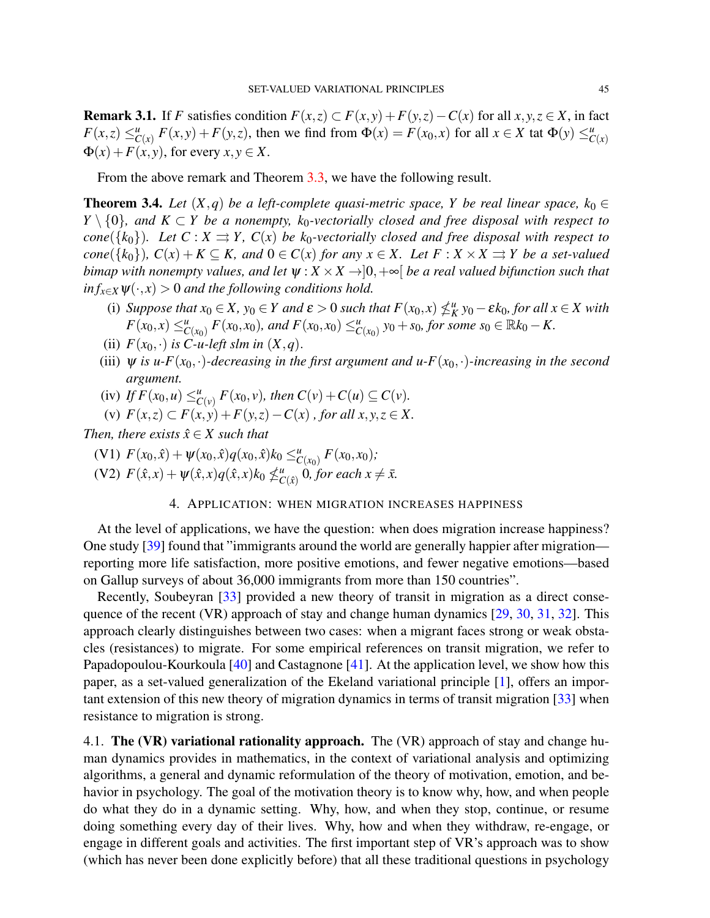**Remark 3.1.** If *F* satisfies condition  $F(x, z) \subset F(x, y) + F(y, z) - C(x)$  for all  $x, y, z \in X$ , in fact  $F(x, z) \leq_{C(x)}^{u} F(x, y) + F(y, z)$ , then we find from  $\Phi(x) = F(x_0, x)$  for all  $x \in X$  tat  $\Phi(y) \leq_{C(x)}^{u}$  $\Phi(x) + F(x, y)$ , for every  $x, y \in X$ .

From the above remark and Theorem [3.3,](#page-7-0) we have the following result.

**Theorem 3.4.** *Let*  $(X, q)$  *be a left-complete quasi-metric space, Y be real linear space,*  $k_0 \in$ *Y*  $\set{0}$ *, and K* ⊂ *Y be a nonempty, k*<sub>0</sub>*-vectorially closed and free disposal with respect to cone*({ $k_0$ }). Let  $C : X \rightrightarrows Y$ ,  $C(x)$  be  $k_0$ -vectorially closed and free disposal with respect to *cone*({ $k_0$ }),  $C(x) + K \subseteq K$ , and  $0 \in C(x)$  for any  $x \in X$ . Let  $F : X \times X \rightrightarrows Y$  be a set-valued *bimap with nonempty values, and let*  $\psi$  :  $X \times X \rightarrow ]0, +\infty[$  *be a real valued bifunction such that*  $inf_{x \in X} \psi(\cdot, x) > 0$  *and the following conditions hold.* 

- (i) *Suppose that*  $x_0 \in X$ ,  $y_0 \in Y$  and  $\varepsilon > 0$  *such that*  $F(x_0, x) \nleq_K^u y_0 \varepsilon k_0$ , for all  $x \in X$  with  $F(x_0, x) \leq_{C(x_0)}^u F(x_0, x_0)$ , and  $F(x_0, x_0) \leq_{C(x_0)}^u y_0 + s_0$ , for some  $s_0 \in \mathbb{R}k_0 - K$ .
- (ii)  $F(x_0, \cdot)$  *is C-u-left slm in*  $(X, q)$ .
- (iii)  $\psi$  *is u-F*( $x_0$ , $\cdot$ )*-decreasing in the first argument and u-F*( $x_0$ , $\cdot$ )*-increasing in the second argument.*
- (iv) If  $F(x_0, u) \leq_{C(v)}^u F(x_0, v)$ , then  $C(v) + C(u) \subseteq C(v)$ .
- (v)  $F(x, z)$  ⊂  $F(x, y)$  +  $F(y, z)$  −  $C(x)$ , for all  $x, y, z \in X$ .

*Then, there exists*  $\hat{x} \in X$  *such that* 

 $(V1)$   $F(x_0, \hat{x}) + \psi(x_0, \hat{x})q(x_0, \hat{x})k_0 \leq^u_{C(x_0)} F(x_0, x_0);$ 

 $(V2)$   $F(\hat{x}, x) + \psi(\hat{x}, x)q(\hat{x}, x)k_0 \nleq^u C$  $_{C(\hat{x})}^u$  0*, for each*  $x \neq \bar{x}$ .

## 4. APPLICATION: WHEN MIGRATION INCREASES HAPPINESS

At the level of applications, we have the question: when does migration increase happiness? One study [\[39\]](#page-14-14) found that "immigrants around the world are generally happier after migration reporting more life satisfaction, more positive emotions, and fewer negative emotions—based on Gallup surveys of about 36,000 immigrants from more than 150 countries".

Recently, Soubeyran [\[33\]](#page-14-6) provided a new theory of transit in migration as a direct consequence of the recent (VR) approach of stay and change human dynamics [\[29,](#page-14-1) [30,](#page-14-2) [31,](#page-14-4) [32\]](#page-14-5). This approach clearly distinguishes between two cases: when a migrant faces strong or weak obstacles (resistances) to migrate. For some empirical references on transit migration, we refer to Papadopoulou-Kourkoula [\[40\]](#page-14-15) and Castagnone [\[41\]](#page-14-16). At the application level, we show how this paper, as a set-valued generalization of the Ekeland variational principle [\[1\]](#page-13-0), offers an important extension of this new theory of migration dynamics in terms of transit migration [\[33\]](#page-14-6) when resistance to migration is strong.

4.1. The (VR) variational rationality approach. The (VR) approach of stay and change human dynamics provides in mathematics, in the context of variational analysis and optimizing algorithms, a general and dynamic reformulation of the theory of motivation, emotion, and behavior in psychology. The goal of the motivation theory is to know why, how, and when people do what they do in a dynamic setting. Why, how, and when they stop, continue, or resume doing something every day of their lives. Why, how and when they withdraw, re-engage, or engage in different goals and activities. The first important step of VR's approach was to show (which has never been done explicitly before) that all these traditional questions in psychology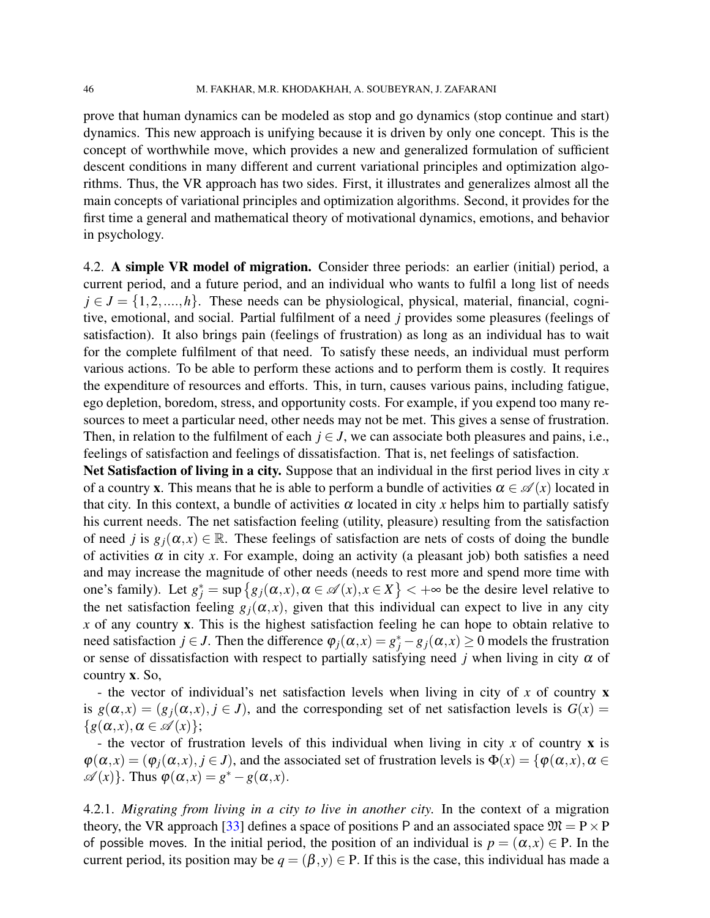prove that human dynamics can be modeled as stop and go dynamics (stop continue and start) dynamics. This new approach is unifying because it is driven by only one concept. This is the concept of worthwhile move, which provides a new and generalized formulation of sufficient descent conditions in many different and current variational principles and optimization algorithms. Thus, the VR approach has two sides. First, it illustrates and generalizes almost all the main concepts of variational principles and optimization algorithms. Second, it provides for the first time a general and mathematical theory of motivational dynamics, emotions, and behavior in psychology.

4.2. A simple VR model of migration. Consider three periods: an earlier (initial) period, a current period, and a future period, and an individual who wants to fulfil a long list of needs  $j \in J = \{1, 2, ..., h\}$ . These needs can be physiological, physical, material, financial, cognitive, emotional, and social. Partial fulfilment of a need *j* provides some pleasures (feelings of satisfaction). It also brings pain (feelings of frustration) as long as an individual has to wait for the complete fulfilment of that need. To satisfy these needs, an individual must perform various actions. To be able to perform these actions and to perform them is costly. It requires the expenditure of resources and efforts. This, in turn, causes various pains, including fatigue, ego depletion, boredom, stress, and opportunity costs. For example, if you expend too many resources to meet a particular need, other needs may not be met. This gives a sense of frustration. Then, in relation to the fulfilment of each  $j \in J$ , we can associate both pleasures and pains, i.e., feelings of satisfaction and feelings of dissatisfaction. That is, net feelings of satisfaction.

Net Satisfaction of living in a city. Suppose that an individual in the first period lives in city *x* of a country x. This means that he is able to perform a bundle of activities  $\alpha \in \mathcal{A}(x)$  located in that city. In this context, a bundle of activities  $\alpha$  located in city x helps him to partially satisfy his current needs. The net satisfaction feeling (utility, pleasure) resulting from the satisfaction of need *j* is  $g_j(\alpha, x) \in \mathbb{R}$ . These feelings of satisfaction are nets of costs of doing the bundle of activities  $\alpha$  in city *x*. For example, doing an activity (a pleasant job) both satisfies a need and may increase the magnitude of other needs (needs to rest more and spend more time with one's family). Let  $g_j^* = \sup \{ g_j(\alpha, x), \alpha \in \mathcal{A}(x), x \in X \}$  <  $+\infty$  be the desire level relative to the net satisfaction feeling  $g_i(\alpha, x)$ , given that this individual can expect to live in any city *x* of any country x. This is the highest satisfaction feeling he can hope to obtain relative to need satisfaction *j* ∈ *J*. Then the difference  $\varphi_j(\alpha, x) = g_j^* - g_j(\alpha, x) \ge 0$  models the frustration or sense of dissatisfaction with respect to partially satisfying need *j* when living in city  $\alpha$  of country x. So,

- the vector of individual's net satisfaction levels when living in city of *x* of country x is  $g(\alpha, x) = (g_i(\alpha, x), i \in J)$ , and the corresponding set of net satisfaction levels is  $G(x) =$  ${g(\alpha, x), \alpha \in \mathscr{A}(x)};$ 

- the vector of frustration levels of this individual when living in city *x* of country x is  $\varphi(\alpha, x) = (\varphi_i(\alpha, x), i \in J)$ , and the associated set of frustration levels is  $\Phi(x) = {\varphi(\alpha, x), \alpha \in J}$  $\mathscr{A}(x)$ . Thus  $\varphi(\alpha, x) = g^* - g(\alpha, x)$ .

4.2.1. *Migrating from living in a city to live in another city.* In the context of a migration theory, the VR approach [\[33\]](#page-14-6) defines a space of positions P and an associated space  $\mathfrak{M} = P \times P$ of possible moves. In the initial period, the position of an individual is  $p = (\alpha, x) \in P$ . In the current period, its position may be  $q = (\beta, y) \in P$ . If this is the case, this individual has made a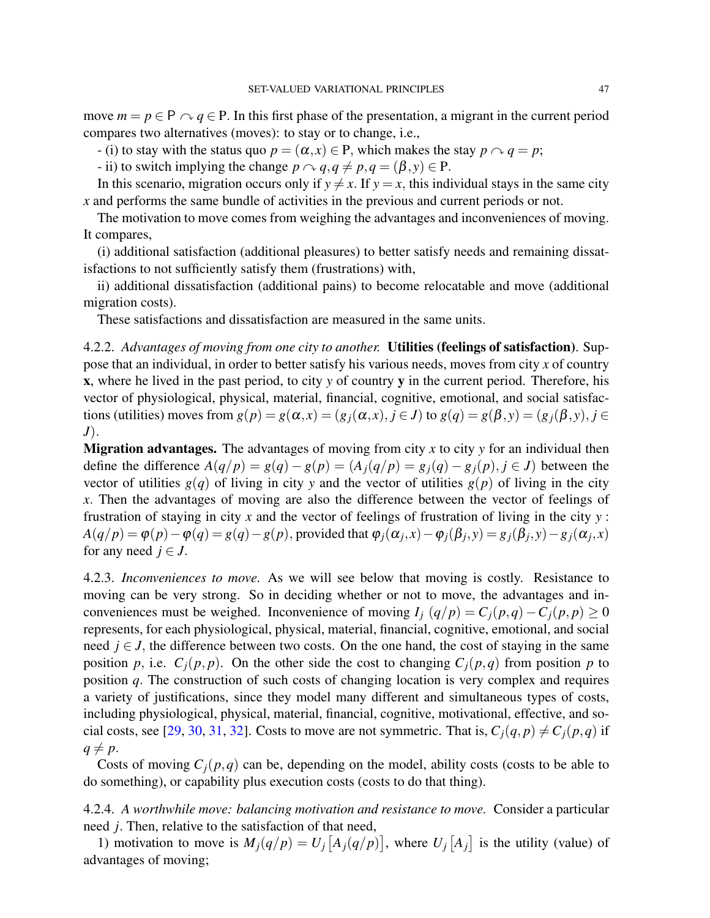move  $m = p \in P \cap q \in P$ . In this first phase of the presentation, a migrant in the current period compares two alternatives (moves): to stay or to change, i.e.,

- (i) to stay with the status quo  $p = (\alpha, x) \in P$ , which makes the stay  $p \cap q = p$ ;

- ii) to switch implying the change  $p \sim q, q \neq p, q = (\beta, y) \in P$ .

In this scenario, migration occurs only if  $y \neq x$ . If  $y = x$ , this individual stays in the same city *x* and performs the same bundle of activities in the previous and current periods or not.

The motivation to move comes from weighing the advantages and inconveniences of moving. It compares,

(i) additional satisfaction (additional pleasures) to better satisfy needs and remaining dissatisfactions to not sufficiently satisfy them (frustrations) with,

ii) additional dissatisfaction (additional pains) to become relocatable and move (additional migration costs).

These satisfactions and dissatisfaction are measured in the same units.

4.2.2. *Advantages of moving from one city to another.* Utilities (feelings of satisfaction). Suppose that an individual, in order to better satisfy his various needs, moves from city *x* of country x, where he lived in the past period, to city *y* of country y in the current period. Therefore, his vector of physiological, physical, material, financial, cognitive, emotional, and social satisfactions (utilities) moves from  $g(p) = g(\alpha, x) = (g_i(\alpha, x), i \in J)$  to  $g(q) = g(\beta, y) = (g_i(\beta, y), i \in J)$ *J*).

Migration advantages. The advantages of moving from city *x* to city *y* for an individual then define the difference  $A(q/p) = g(q) - g(p) = (A_i(q/p) = g_i(q) - g_j(p), j \in J$  between the vector of utilities  $g(q)$  of living in city y and the vector of utilities  $g(p)$  of living in the city *x*. Then the advantages of moving are also the difference between the vector of feelings of frustration of staying in city *x* and the vector of feelings of frustration of living in the city *y* :  $A(q/p) = \varphi(p) - \varphi(q) = g(q) - g(p)$ , provided that  $\varphi_j(\alpha_j, x) - \varphi_j(\beta_j, y) = g_j(\beta_j, y) - g_j(\alpha_j, x)$ for any need  $j \in J$ .

4.2.3. *Inconveniences to move.* As we will see below that moving is costly. Resistance to moving can be very strong. So in deciding whether or not to move, the advantages and inconveniences must be weighed. Inconvenience of moving  $I_i(q/p) = C_i(p,q) - C_i(p,p) \ge 0$ represents, for each physiological, physical, material, financial, cognitive, emotional, and social need  $j \in J$ , the difference between two costs. On the one hand, the cost of staying in the same position *p*, i.e.  $C_i(p, p)$ . On the other side the cost to changing  $C_i(p, q)$  from position *p* to position *q*. The construction of such costs of changing location is very complex and requires a variety of justifications, since they model many different and simultaneous types of costs, including physiological, physical, material, financial, cognitive, motivational, effective, and so-cial costs, see [\[29,](#page-14-1) [30,](#page-14-2) [31,](#page-14-4) [32\]](#page-14-5). Costs to move are not symmetric. That is,  $C_i(q, p) \neq C_i(p, q)$  if  $q \neq p$ .

Costs of moving  $C_i(p,q)$  can be, depending on the model, ability costs (costs to be able to do something), or capability plus execution costs (costs to do that thing).

# 4.2.4. *A worthwhile move: balancing motivation and resistance to move.* Consider a particular need *j*. Then, relative to the satisfaction of that need,

1) motivation to move is  $M_j(q/p) = U_j[A_j(q/p)]$ , where  $U_j[A_j]$  is the utility (value) of advantages of moving;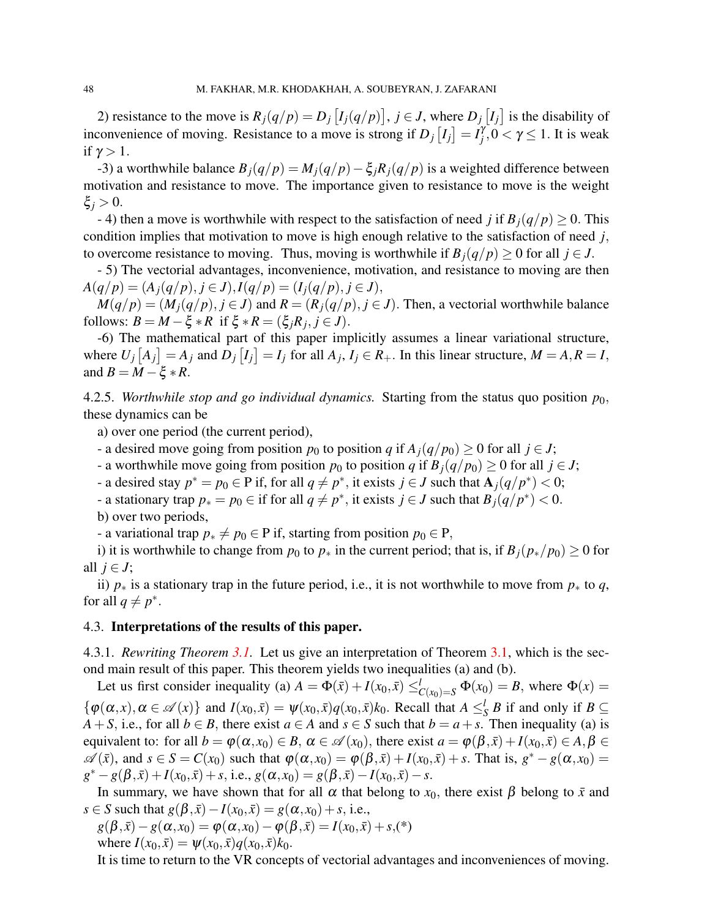2) resistance to the move is  $R_j(q/p) = D_j[I_j(q/p)], j \in J$ , where  $D_j[I_j]$  is the disability of inconvenience of moving. Resistance to a move is strong if  $D_j [I_j] = I_j^{\gamma}$  $\gamma$ <sup>*r*</sup>, 0 <  $\gamma$   $\leq$  1. It is weak if  $\gamma > 1$ .

-3) a worthwhile balance  $B_i(q/p) = M_i(q/p) - \xi_i R_i(q/p)$  is a weighted difference between motivation and resistance to move. The importance given to resistance to move is the weight ξ*<sup>j</sup>* > 0.

- 4) then a move is worthwhile with respect to the satisfaction of need *j* if  $B_i(q/p) \geq 0$ . This condition implies that motivation to move is high enough relative to the satisfaction of need *j*, to overcome resistance to moving. Thus, moving is worthwhile if  $B_i(q/p) \geq 0$  for all  $j \in J$ .

- 5) The vectorial advantages, inconvenience, motivation, and resistance to moving are then  $A(q/p) = (A_j(q/p), j \in J), I(q/p) = (I_j(q/p), j \in J),$ 

 $M(q/p) = (M_i(q/p), j \in J)$  and  $R = (R_i(q/p), j \in J)$ . Then, a vectorial worthwhile balance follows:  $B = M - \xi * R$  if  $\xi * R = (\xi_j R_j, j \in J)$ .

-6) The mathematical part of this paper implicitly assumes a linear variational structure, where  $U_j[A_j] = A_j$  and  $D_j[I_j] = I_j$  for all  $A_j$ ,  $I_j \in R_+$ . In this linear structure,  $M = A, R = I$ , and  $B = M - \xi * R$ .

4.2.5. *Worthwhile stop and go individual dynamics.* Starting from the status quo position *p*0, these dynamics can be

a) over one period (the current period),

- a desired move going from position  $p_0$  to position  $q$  if  $A_j(q/p_0) \ge 0$  for all  $j \in J$ ;
- a worthwhile move going from position  $p_0$  to position *q* if  $B_i(q/p_0) \geq 0$  for all  $j \in J$ ;
- a desired stay  $p^* = p_0$  ∈ P if, for all  $q \neq p^*$ , it exists  $j \in J$  such that  $\mathbf{A}_j(q/p^*) < 0$ ;
- a stationary trap  $p_* = p_0 \in \text{if for all } q \neq p^*$ , it exists  $j \in J$  such that  $B_j(q/p^*) < 0$ .

b) over two periods,

- a variational trap  $p_* \neq p_0 \in P$  if, starting from position  $p_0 \in P$ ,

i) it is worthwhile to change from  $p_0$  to  $p_*$  in the current period; that is, if  $B_j(p_*/p_0) \ge 0$  for all  $j \in J$ ;

ii)  $p_*$  is a stationary trap in the future period, i.e., it is not worthwhile to move from  $p_*$  to  $q$ , for all  $q \neq p^*$ .

#### 4.3. Interpretations of the results of this paper.

4.3.1. *Rewriting Theorem [3.1.](#page-3-3)* Let us give an interpretation of Theorem [3.1,](#page-3-3) which is the second main result of this paper. This theorem yields two inequalities (a) and (b).

Let us first consider inequality (a)  $A = \Phi(\bar{x}) + I(x_0, \bar{x}) \leq_{C(x_0)=S}^{l} \Phi(x_0) = B$ , where  $\Phi(x) =$  $\{\varphi(\alpha, x), \alpha \in \mathcal{A}(x)\}\$  and  $I(x_0, \bar{x}) = \psi(x_0, \bar{x})q(x_0, \bar{x})k_0$ . Recall that  $A \leq_S^l B$  if and only if  $B \subseteq$ *A* + *S*, i.e., for all *b* ∈ *B*, there exist *a* ∈ *A* and *s* ∈ *S* such that *b* = *a* + *s*. Then inequality (a) is equivalent to: for all  $b = \varphi(\alpha, x_0) \in B$ ,  $\alpha \in \mathcal{A}(x_0)$ , there exist  $a = \varphi(\beta, \bar{x}) + I(x_0, \bar{x}) \in A, \beta \in B$  $\mathscr{A}(\bar{x})$ , and  $s \in S = C(x_0)$  such that  $\varphi(\alpha, x_0) = \varphi(\beta, \bar{x}) + I(x_0, \bar{x}) + s$ . That is,  $g^* - g(\alpha, x_0) =$  $g^* - g(\beta, \bar{x}) + I(x_0, \bar{x}) + s$ , i.e.,  $g(\alpha, x_0) = g(\beta, \bar{x}) - I(x_0, \bar{x}) - s$ .

In summary, we have shown that for all  $\alpha$  that belong to  $x_0$ , there exist  $\beta$  belong to  $\bar{x}$  and  $s \in S$  such that  $g(\beta, \bar{x}) - I(x_0, \bar{x}) = g(\alpha, x_0) + s$ , i.e.,

$$
g(\beta,\bar{x}) - g(\alpha, x_0) = \varphi(\alpha, x_0) - \varphi(\beta, \bar{x}) = I(x_0, \bar{x}) + s, (*)
$$
  
where  $I(x_0, \bar{x}) = \psi(x_0, \bar{x})q(x_0, \bar{x})k_0$ .

It is time to return to the VR concepts of vectorial advantages and inconveniences of moving.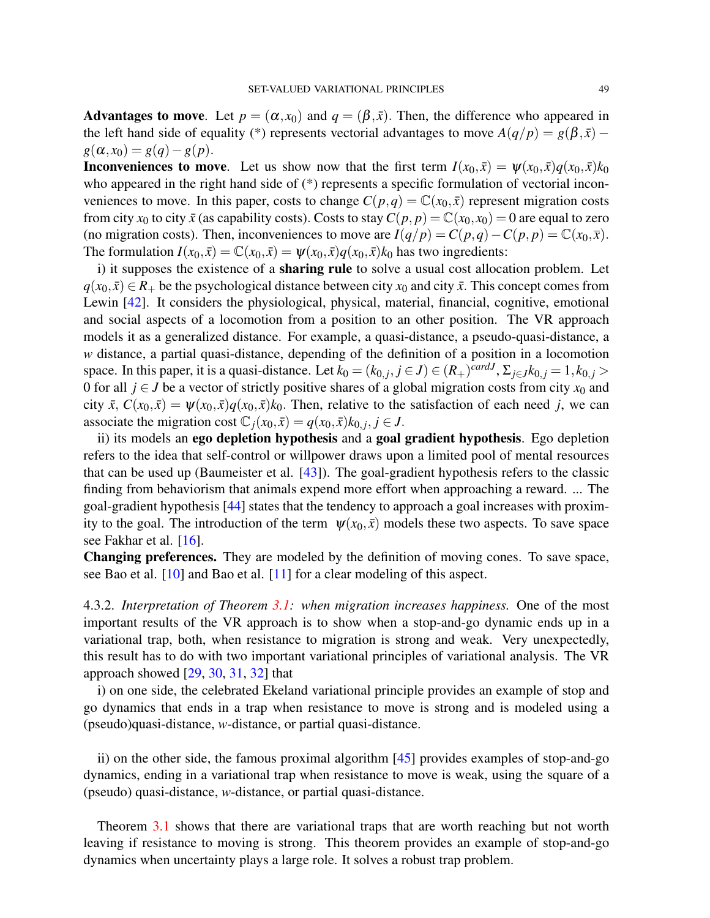Advantages to move. Let  $p = (\alpha, x_0)$  and  $q = (\beta, \bar{x})$ . Then, the difference who appeared in the left hand side of equality (\*) represents vectorial advantages to move  $A(q/p) = g(\beta, \bar{x})$  –  $g(\alpha, x_0) = g(q) - g(p).$ 

**Inconveniences to move**. Let us show now that the first term  $I(x_0, \bar{x}) = \psi(x_0, \bar{x})q(x_0, \bar{x})k_0$ who appeared in the right hand side of (\*) represents a specific formulation of vectorial inconveniences to move. In this paper, costs to change  $C(p,q) = \mathbb{C}(x_0, \bar{x})$  represent migration costs from city  $x_0$  to city  $\bar{x}$  (as capability costs). Costs to stay  $C(p, p) = \mathbb{C}(x_0, x_0) = 0$  are equal to zero (no migration costs). Then, inconveniences to move are  $I(q/p) = C(p,q) - C(p,p) = \mathbb{C}(x_0, \bar{x})$ . The formulation  $I(x_0, \bar{x}) = \mathbb{C}(x_0, \bar{x}) = \psi(x_0, \bar{x})q(x_0, \bar{x})k_0$  has two ingredients:

i) it supposes the existence of a sharing rule to solve a usual cost allocation problem. Let  $q(x_0, \bar{x}) \in R_+$  be the psychological distance between city  $x_0$  and city  $\bar{x}$ . This concept comes from Lewin [\[42\]](#page-14-17). It considers the physiological, physical, material, financial, cognitive, emotional and social aspects of a locomotion from a position to an other position. The VR approach models it as a generalized distance. For example, a quasi-distance, a pseudo-quasi-distance, a *w* distance, a partial quasi-distance, depending of the definition of a position in a locomotion space. In this paper, it is a quasi-distance. Let  $k_0 = (k_{0,j}, j \in J) \in (R_+)^{card J}$ ,  $\Sigma_{j \in J} k_{0,j} = 1, k_{0,j} >$ 0 for all  $j \in J$  be a vector of strictly positive shares of a global migration costs from city  $x_0$  and city  $\bar{x}$ ,  $C(x_0, \bar{x}) = \psi(x_0, \bar{x})q(x_0, \bar{x})k_0$ . Then, relative to the satisfaction of each need *j*, we can associate the migration cost  $\mathbb{C}_j(x_0, \bar{x}) = q(x_0, \bar{x})k_{0,j}, j \in J$ .

ii) its models an ego depletion hypothesis and a goal gradient hypothesis. Ego depletion refers to the idea that self-control or willpower draws upon a limited pool of mental resources that can be used up (Baumeister et al. [\[43\]](#page-14-18)). The goal-gradient hypothesis refers to the classic finding from behaviorism that animals expend more effort when approaching a reward. ... The goal-gradient hypothesis [\[44\]](#page-14-19) states that the tendency to approach a goal increases with proximity to the goal. The introduction of the term  $\psi(x_0, \bar{x})$  models these two aspects. To save space see Fakhar et al. [\[16\]](#page-13-9).

Changing preferences. They are modeled by the definition of moving cones. To save space, see Bao et al. [\[10\]](#page-13-6) and Bao et al. [\[11\]](#page-13-7) for a clear modeling of this aspect.

4.3.2. *Interpretation of Theorem [3.1:](#page-3-3) when migration increases happiness.* One of the most important results of the VR approach is to show when a stop-and-go dynamic ends up in a variational trap, both, when resistance to migration is strong and weak. Very unexpectedly, this result has to do with two important variational principles of variational analysis. The VR approach showed  $[29, 30, 31, 32]$  $[29, 30, 31, 32]$  $[29, 30, 31, 32]$  $[29, 30, 31, 32]$  $[29, 30, 31, 32]$  $[29, 30, 31, 32]$  $[29, 30, 31, 32]$  that

i) on one side, the celebrated Ekeland variational principle provides an example of stop and go dynamics that ends in a trap when resistance to move is strong and is modeled using a (pseudo)quasi-distance, *w*-distance, or partial quasi-distance.

ii) on the other side, the famous proximal algorithm [\[45\]](#page-14-20) provides examples of stop-and-go dynamics, ending in a variational trap when resistance to move is weak, using the square of a (pseudo) quasi-distance, *w*-distance, or partial quasi-distance.

Theorem [3.1](#page-3-3) shows that there are variational traps that are worth reaching but not worth leaving if resistance to moving is strong. This theorem provides an example of stop-and-go dynamics when uncertainty plays a large role. It solves a robust trap problem.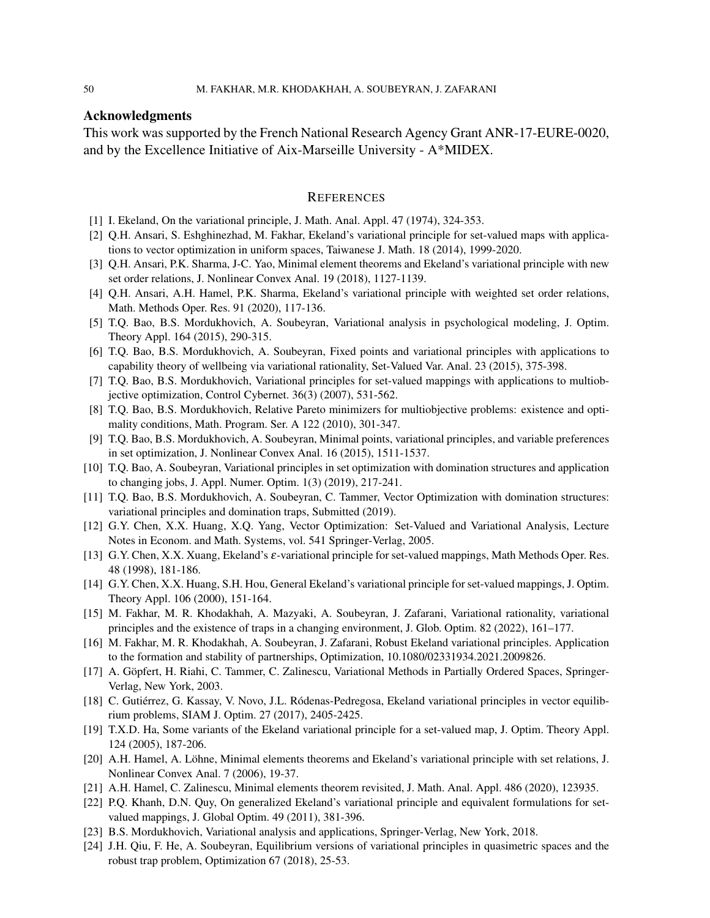### Acknowledgments

This work was supported by the French National Research Agency Grant ANR-17-EURE-0020, and by the Excellence Initiative of Aix-Marseille University - A\*MIDEX.

### **REFERENCES**

- <span id="page-13-0"></span>[1] I. Ekeland, On the variational principle, J. Math. Anal. Appl. 47 (1974), 324-353.
- <span id="page-13-1"></span>[2] Q.H. Ansari, S. Eshghinezhad, M. Fakhar, Ekeland's variational principle for set-valued maps with applications to vector optimization in uniform spaces, Taiwanese J. Math. 18 (2014), 1999-2020.
- <span id="page-13-16"></span>[3] Q.H. Ansari, P.K. Sharma, J-C. Yao, Minimal element theorems and Ekeland's variational principle with new set order relations, J. Nonlinear Convex Anal. 19 (2018), 1127-1139.
- <span id="page-13-17"></span>[4] Q.H. Ansari, A.H. Hamel, P.K. Sharma, Ekeland's variational principle with weighted set order relations, Math. Methods Oper. Res. 91 (2020), 117-136.
- <span id="page-13-2"></span>[5] T.Q. Bao, B.S. Mordukhovich, A. Soubeyran, Variational analysis in psychological modeling, J. Optim. Theory Appl. 164 (2015), 290-315.
- <span id="page-13-3"></span>[6] T.Q. Bao, B.S. Mordukhovich, A. Soubeyran, Fixed points and variational principles with applications to capability theory of wellbeing via variational rationality, Set-Valued Var. Anal. 23 (2015), 375-398.
- <span id="page-13-4"></span>[7] T.Q. Bao, B.S. Mordukhovich, Variational principles for set-valued mappings with applications to multiobjective optimization, Control Cybernet. 36(3) (2007), 531-562.
- <span id="page-13-11"></span>[8] T.Q. Bao, B.S. Mordukhovich, Relative Pareto minimizers for multiobjective problems: existence and optimality conditions, Math. Program. Ser. A 122 (2010), 301-347.
- <span id="page-13-5"></span>[9] T.Q. Bao, B.S. Mordukhovich, A. Soubeyran, Minimal points, variational principles, and variable preferences in set optimization, J. Nonlinear Convex Anal. 16 (2015), 1511-1537.
- <span id="page-13-6"></span>[10] T.Q. Bao, A. Soubeyran, Variational principles in set optimization with domination structures and application to changing jobs, J. Appl. Numer. Optim. 1(3) (2019), 217-241.
- <span id="page-13-7"></span>[11] T.Q. Bao, B.S. Mordukhovich, A. Soubeyran, C. Tammer, Vector Optimization with domination structures: variational principles and domination traps, Submitted (2019).
- <span id="page-13-21"></span>[12] G.Y. Chen, X.X. Huang, X.Q. Yang, Vector Optimization: Set-Valued and Variational Analysis, Lecture Notes in Econom. and Math. Systems, vol. 541 Springer-Verlag, 2005.
- <span id="page-13-12"></span>[13] G.Y. Chen, X.X. Xuang, Ekeland's  $\varepsilon$ -variational principle for set-valued mappings, Math Methods Oper. Res. 48 (1998), 181-186.
- <span id="page-13-13"></span>[14] G.Y. Chen, X.X. Huang, S.H. Hou, General Ekeland's variational principle for set-valued mappings, J. Optim. Theory Appl. 106 (2000), 151-164.
- <span id="page-13-8"></span>[15] M. Fakhar, M. R. Khodakhah, A. Mazyaki, A. Soubeyran, J. Zafarani, Variational rationality, variational principles and the existence of traps in a changing environment, J. Glob. Optim. 82 (2022), 161–177.
- <span id="page-13-9"></span>[16] M. Fakhar, M. R. Khodakhah, A. Soubeyran, J. Zafarani, Robust Ekeland variational principles. Application to the formation and stability of partnerships, Optimization, 10.1080/02331934.2021.2009826.
- <span id="page-13-22"></span>[17] A. Göpfert, H. Riahi, C. Tammer, C. Zalinescu, Variational Methods in Partially Ordered Spaces, Springer-Verlag, New York, 2003.
- <span id="page-13-23"></span>[18] C. Gutiérrez, G. Kassay, V. Novo, J.L. Ródenas-Pedregosa, Ekeland variational principles in vector equilibrium problems, SIAM J. Optim. 27 (2017), 2405-2425.
- <span id="page-13-14"></span>[19] T.X.D. Ha, Some variants of the Ekeland variational principle for a set-valued map, J. Optim. Theory Appl. 124 (2005), 187-206.
- <span id="page-13-18"></span>[20] A.H. Hamel, A. Löhne, Minimal elements theorems and Ekeland's variational principle with set relations, J. Nonlinear Convex Anal. 7 (2006), 19-37.
- <span id="page-13-19"></span>[21] A.H. Hamel, C. Zalinescu, Minimal elements theorem revisited, J. Math. Anal. Appl. 486 (2020), 123935.
- <span id="page-13-20"></span>[22] P.Q. Khanh, D.N. Quy, On generalized Ekeland's variational principle and equivalent formulations for setvalued mappings, J. Global Optim. 49 (2011), 381-396.
- <span id="page-13-15"></span>[23] B.S. Mordukhovich, Variational analysis and applications, Springer-Verlag, New York, 2018.
- <span id="page-13-10"></span>[24] J.H. Qiu, F. He, A. Soubeyran, Equilibrium versions of variational principles in quasimetric spaces and the robust trap problem, Optimization 67 (2018), 25-53.